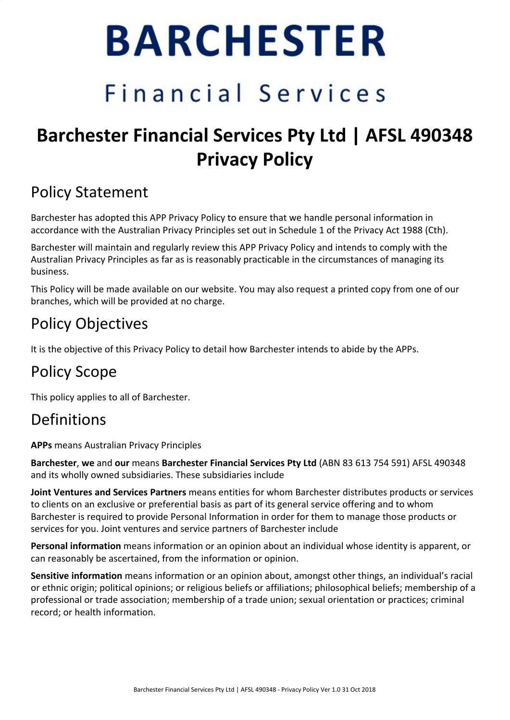# **BARCHESTER**

## Financial Services

## **Barchester Financial Services Pty Ltd | AFSL 490348 Privacy Policy**

## Policy Statement

Barchester has adopted this APP Privacy Policy to ensure that we handle personal information in accordance with the Australian Privacy Principles set out in Schedule 1 of the Privacy Act 1988 (Cth).

Barchester will maintain and regularly review this APP Privacy Policy and intends to comply with the Australian Privacy Principles as far as is reasonably practicable in the circumstances of managing its business.

This Policy will be made available on our website. You may also request a printed copy from one of our branches, which will be provided at no charge.

## Policy Objectives

It is the objective of this Privacy Policy to detail how Barchester intends to abide by the APPs.

## Policy Scope

This policy applies to all of Barchester.

### Definitions

**APPs** means Australian Privacy Principles

**Barchester**, **we** and **our** means **Barchester Financial Services Pty Ltd** (ABN 83 613 754 591) AFSL 490348 and its wholly owned subsidiaries. These subsidiaries include

**Joint Ventures and Services Partners** means entities for whom Barchester distributes products or services to clients on an exclusive or preferential basis as part of its general service offering and to whom Barchester is required to provide Personal Information in order for them to manage those products or services for you. Joint ventures and service partners of Barchester include

**Personal information** means information or an opinion about an individual whose identity is apparent, or can reasonably be ascertained, from the information or opinion.

**Sensitive information** means information or an opinion about, amongst other things, an individual's racial or ethnic origin; political opinions; or religious beliefs or affiliations; philosophical beliefs; membership of a professional or trade association; membership of a trade union; sexual orientation or practices; criminal record; or health information.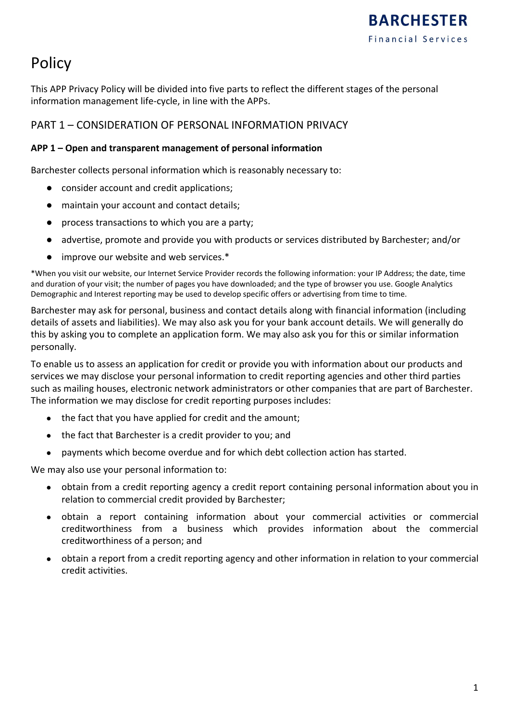## Policy

This APP Privacy Policy will be divided into five parts to reflect the different stages of the personal information management life-cycle, in line with the APPs.

#### PART 1 – CONSIDERATION OF PERSONAL INFORMATION PRIVACY

#### **APP 1 – Open and transparent management of personal information**

Barchester collects personal information which is reasonably necessary to:

- consider account and credit applications;
- maintain your account and contact details;
- process transactions to which you are a party;
- advertise, promote and provide you with products or services distributed by Barchester; and/or
- improve our website and web services.\*

\*When you visit our website, our Internet Service Provider records the following information: your IP Address; the date, time and duration of your visit; the number of pages you have downloaded; and the type of browser you use. Google Analytics Demographic and Interest reporting may be used to develop specific offers or advertising from time to time.

Barchester may ask for personal, business and contact details along with financial information (including details of assets and liabilities). We may also ask you for your bank account details. We will generally do this by asking you to complete an application form. We may also ask you for this or similar information personally.

To enable us to assess an application for credit or provide you with information about our products and services we may disclose your personal information to credit reporting agencies and other third parties such as mailing houses, electronic network administrators or other companies that are part of Barchester. The information we may disclose for credit reporting purposes includes:

- the fact that you have applied for credit and the amount;
- the fact that Barchester is a credit provider to you; and
- payments which become overdue and for which debt collection action has started.

We may also use your personal information to:

- obtain from a credit reporting agency a credit report containing personal information about you in relation to commercial credit provided by Barchester;
- obtain a report containing information about your commercial activities or commercial creditworthiness from a business which provides information about the commercial creditworthiness of a person; and
- obtain a report from a credit reporting agency and other information in relation to your commercial credit activities.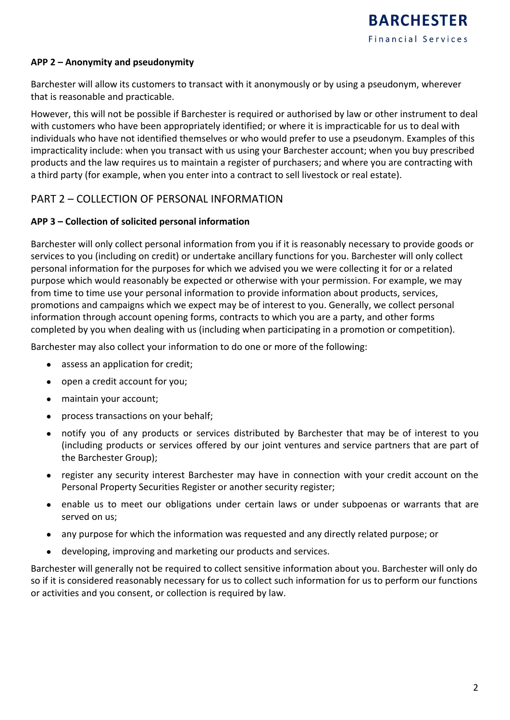#### **APP 2 – Anonymity and pseudonymity**

Barchester will allow its customers to transact with it anonymously or by using a pseudonym, wherever that is reasonable and practicable.

However, this will not be possible if Barchester is required or authorised by law or other instrument to deal with customers who have been appropriately identified; or where it is impracticable for us to deal with individuals who have not identified themselves or who would prefer to use a pseudonym. Examples of this impracticality include: when you transact with us using your Barchester account; when you buy prescribed products and the law requires us to maintain a register of purchasers; and where you are contracting with a third party (for example, when you enter into a contract to sell livestock or real estate).

#### PART 2 – COLLECTION OF PERSONAL INFORMATION

#### **APP 3 – Collection of solicited personal information**

Barchester will only collect personal information from you if it is reasonably necessary to provide goods or services to you (including on credit) or undertake ancillary functions for you. Barchester will only collect personal information for the purposes for which we advised you we were collecting it for or a related purpose which would reasonably be expected or otherwise with your permission. For example, we may from time to time use your personal information to provide information about products, services, promotions and campaigns which we expect may be of interest to you. Generally, we collect personal information through account opening forms, contracts to which you are a party, and other forms completed by you when dealing with us (including when participating in a promotion or competition).

Barchester may also collect your information to do one or more of the following:

- assess an application for credit;
- open a credit account for you;
- maintain your account;
- process transactions on your behalf;
- notify you of any products or services distributed by Barchester that may be of interest to you (including products or services offered by our joint ventures and service partners that are part of the Barchester Group);
- register any security interest Barchester may have in connection with your credit account on the Personal Property Securities Register or another security register;
- enable us to meet our obligations under certain laws or under subpoenas or warrants that are served on us;
- any purpose for which the information was requested and any directly related purpose; or
- developing, improving and marketing our products and services.

Barchester will generally not be required to collect sensitive information about you. Barchester will only do so if it is considered reasonably necessary for us to collect such information for us to perform our functions or activities and you consent, or collection is required by law.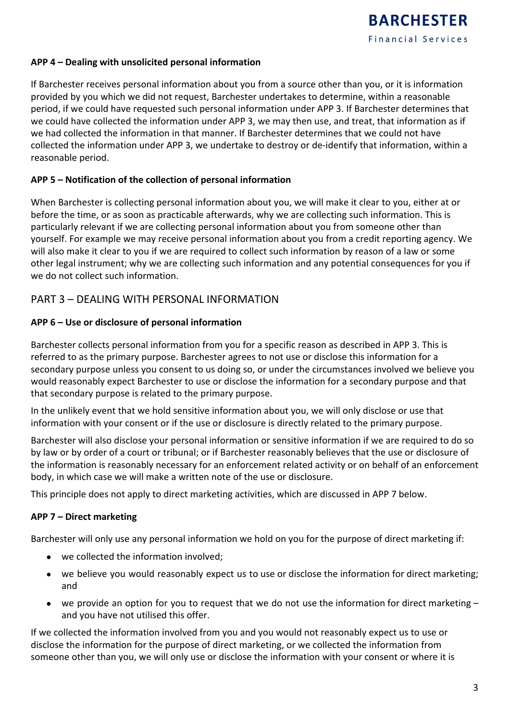#### **APP 4 – Dealing with unsolicited personal information**

If Barchester receives personal information about you from a source other than you, or it is information provided by you which we did not request, Barchester undertakes to determine, within a reasonable period, if we could have requested such personal information under APP 3. If Barchester determines that we could have collected the information under APP 3, we may then use, and treat, that information as if we had collected the information in that manner. If Barchester determines that we could not have collected the information under APP 3, we undertake to destroy or de-identify that information, within a reasonable period.

#### **APP 5 – Notification of the collection of personal information**

When Barchester is collecting personal information about you, we will make it clear to you, either at or before the time, or as soon as practicable afterwards, why we are collecting such information. This is particularly relevant if we are collecting personal information about you from someone other than yourself. For example we may receive personal information about you from a credit reporting agency. We will also make it clear to you if we are required to collect such information by reason of a law or some other legal instrument; why we are collecting such information and any potential consequences for you if we do not collect such information.

#### PART 3 – DEALING WITH PERSONAL INFORMATION

#### **APP 6 – Use or disclosure of personal information**

Barchester collects personal information from you for a specific reason as described in APP 3. This is referred to as the primary purpose. Barchester agrees to not use or disclose this information for a secondary purpose unless you consent to us doing so, or under the circumstances involved we believe you would reasonably expect Barchester to use or disclose the information for a secondary purpose and that that secondary purpose is related to the primary purpose.

In the unlikely event that we hold sensitive information about you, we will only disclose or use that information with your consent or if the use or disclosure is directly related to the primary purpose.

Barchester will also disclose your personal information or sensitive information if we are required to do so by law or by order of a court or tribunal; or if Barchester reasonably believes that the use or disclosure of the information is reasonably necessary for an enforcement related activity or on behalf of an enforcement body, in which case we will make a written note of the use or disclosure.

This principle does not apply to direct marketing activities, which are discussed in APP 7 below.

#### **APP 7 – Direct marketing**

Barchester will only use any personal information we hold on you for the purpose of direct marketing if:

- we collected the information involved;
- we believe you would reasonably expect us to use or disclose the information for direct marketing; and
- we provide an option for you to request that we do not use the information for direct marketing  $$ and you have not utilised this offer.

If we collected the information involved from you and you would not reasonably expect us to use or disclose the information for the purpose of direct marketing, or we collected the information from someone other than you, we will only use or disclose the information with your consent or where it is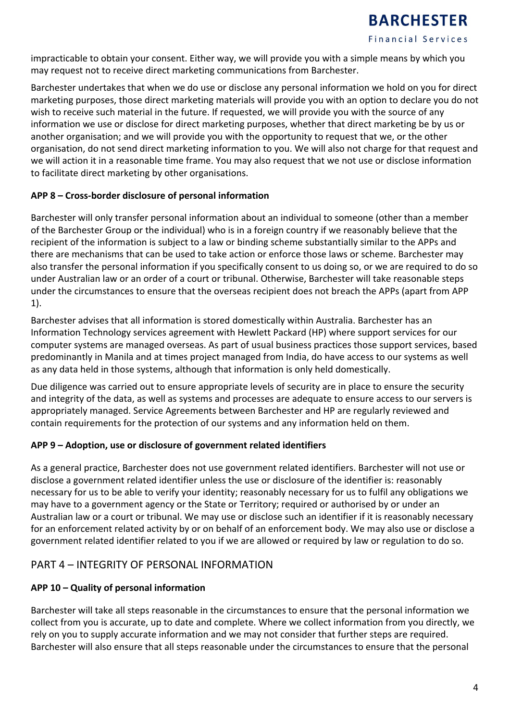

**Financial Services** 

impracticable to obtain your consent. Either way, we will provide you with a simple means by which you may request not to receive direct marketing communications from Barchester.

Barchester undertakes that when we do use or disclose any personal information we hold on you for direct marketing purposes, those direct marketing materials will provide you with an option to declare you do not wish to receive such material in the future. If requested, we will provide you with the source of any information we use or disclose for direct marketing purposes, whether that direct marketing be by us or another organisation; and we will provide you with the opportunity to request that we, or the other organisation, do not send direct marketing information to you. We will also not charge for that request and we will action it in a reasonable time frame. You may also request that we not use or disclose information to facilitate direct marketing by other organisations.

#### **APP 8 – Cross-border disclosure of personal information**

Barchester will only transfer personal information about an individual to someone (other than a member of the Barchester Group or the individual) who is in a foreign country if we reasonably believe that the recipient of the information is subject to a law or binding scheme substantially similar to the APPs and there are mechanisms that can be used to take action or enforce those laws or scheme. Barchester may also transfer the personal information if you specifically consent to us doing so, or we are required to do so under Australian law or an order of a court or tribunal. Otherwise, Barchester will take reasonable steps under the circumstances to ensure that the overseas recipient does not breach the APPs (apart from APP 1).

Barchester advises that all information is stored domestically within Australia. Barchester has an Information Technology services agreement with Hewlett Packard (HP) where support services for our computer systems are managed overseas. As part of usual business practices those support services, based predominantly in Manila and at times project managed from India, do have access to our systems as well as any data held in those systems, although that information is only held domestically.

Due diligence was carried out to ensure appropriate levels of security are in place to ensure the security and integrity of the data, as well as systems and processes are adequate to ensure access to our servers is appropriately managed. Service Agreements between Barchester and HP are regularly reviewed and contain requirements for the protection of our systems and any information held on them.

#### **APP 9 – Adoption, use or disclosure of government related identifiers**

As a general practice, Barchester does not use government related identifiers. Barchester will not use or disclose a government related identifier unless the use or disclosure of the identifier is: reasonably necessary for us to be able to verify your identity; reasonably necessary for us to fulfil any obligations we may have to a government agency or the State or Territory; required or authorised by or under an Australian law or a court or tribunal. We may use or disclose such an identifier if it is reasonably necessary for an enforcement related activity by or on behalf of an enforcement body. We may also use or disclose a government related identifier related to you if we are allowed or required by law or regulation to do so.

#### PART 4 – INTEGRITY OF PERSONAL INFORMATION

#### **APP 10 – Quality of personal information**

Barchester will take all steps reasonable in the circumstances to ensure that the personal information we collect from you is accurate, up to date and complete. Where we collect information from you directly, we rely on you to supply accurate information and we may not consider that further steps are required. Barchester will also ensure that all steps reasonable under the circumstances to ensure that the personal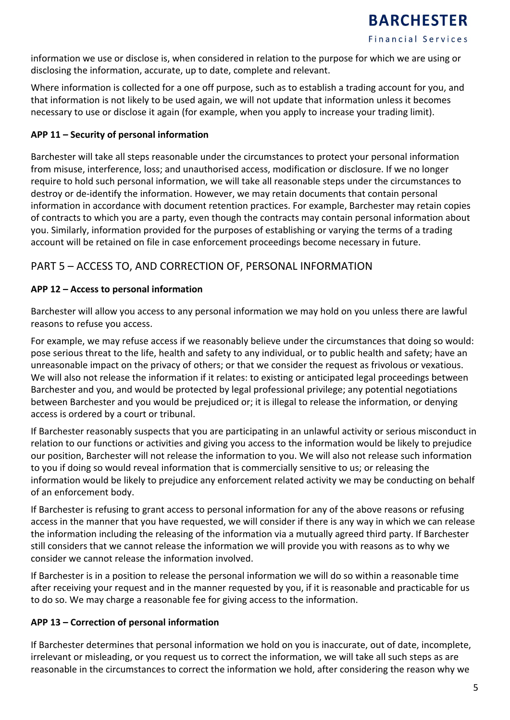information we use or disclose is, when considered in relation to the purpose for which we are using or disclosing the information, accurate, up to date, complete and relevant.

Where information is collected for a one off purpose, such as to establish a trading account for you, and that information is not likely to be used again, we will not update that information unless it becomes necessary to use or disclose it again (for example, when you apply to increase your trading limit).

#### **APP 11 – Security of personal information**

Barchester will take all steps reasonable under the circumstances to protect your personal information from misuse, interference, loss; and unauthorised access, modification or disclosure. If we no longer require to hold such personal information, we will take all reasonable steps under the circumstances to destroy or de-identify the information. However, we may retain documents that contain personal information in accordance with document retention practices. For example, Barchester may retain copies of contracts to which you are a party, even though the contracts may contain personal information about you. Similarly, information provided for the purposes of establishing or varying the terms of a trading account will be retained on file in case enforcement proceedings become necessary in future.

#### PART 5 – ACCESS TO, AND CORRECTION OF, PERSONAL INFORMATION

#### **APP 12 – Access to personal information**

Barchester will allow you access to any personal information we may hold on you unless there are lawful reasons to refuse you access.

For example, we may refuse access if we reasonably believe under the circumstances that doing so would: pose serious threat to the life, health and safety to any individual, or to public health and safety; have an unreasonable impact on the privacy of others; or that we consider the request as frivolous or vexatious. We will also not release the information if it relates: to existing or anticipated legal proceedings between Barchester and you, and would be protected by legal professional privilege; any potential negotiations between Barchester and you would be prejudiced or; it is illegal to release the information, or denying access is ordered by a court or tribunal.

If Barchester reasonably suspects that you are participating in an unlawful activity or serious misconduct in relation to our functions or activities and giving you access to the information would be likely to prejudice our position, Barchester will not release the information to you. We will also not release such information to you if doing so would reveal information that is commercially sensitive to us; or releasing the information would be likely to prejudice any enforcement related activity we may be conducting on behalf of an enforcement body.

If Barchester is refusing to grant access to personal information for any of the above reasons or refusing access in the manner that you have requested, we will consider if there is any way in which we can release the information including the releasing of the information via a mutually agreed third party. If Barchester still considers that we cannot release the information we will provide you with reasons as to why we consider we cannot release the information involved.

If Barchester is in a position to release the personal information we will do so within a reasonable time after receiving your request and in the manner requested by you, if it is reasonable and practicable for us to do so. We may charge a reasonable fee for giving access to the information.

#### **APP 13 – Correction of personal information**

If Barchester determines that personal information we hold on you is inaccurate, out of date, incomplete, irrelevant or misleading, or you request us to correct the information, we will take all such steps as are reasonable in the circumstances to correct the information we hold, after considering the reason why we